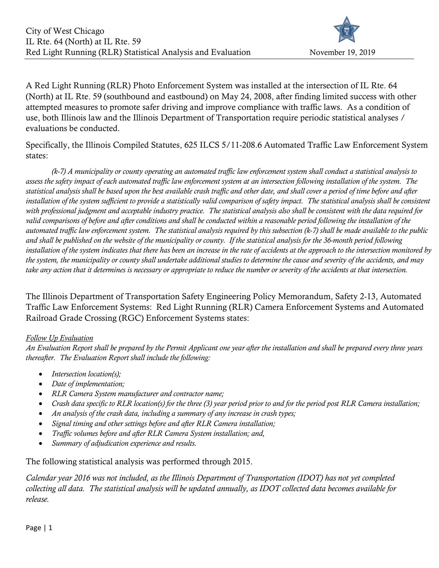

A Red Light Running (RLR) Photo Enforcement System was installed at the intersection of IL Rte. 64 (North) at IL Rte. 59 (southbound and eastbound) on May 24, 2008, after finding limited success with other attempted measures to promote safer driving and improve compliance with traffic laws. As a condition of use, both Illinois law and the Illinois Department of Transportation require periodic statistical analyses / evaluations be conducted.

Specifically, the Illinois Compiled Statutes, 625 ILCS 5/11-208.6 Automated Traffic Law Enforcement System states:

 (k-7) A municipality or county operating an automated traffic law enforcement system shall conduct a statistical analysis to assess the safety impact of each automated traffic law enforcement system at an intersection following installation of the system. The statistical analysis shall be based upon the best available crash traffic and other date, and shall cover a period of time before and after installation of the system sufficient to provide a statistically valid comparison of safety impact. The statistical analysis shall be consistent with professional judgment and acceptable industry practice. The statistical analysis also shall be consistent with the data required for valid comparisons of before and after conditions and shall be conducted within a reasonable period following the installation of the automated traffic law enforcement system. The statistical analysis required by this subsection (k-7) shall be made available to the public and shall be published on the website of the municipality or county. If the statistical analysis for the 36-month period following installation of the system indicates that there has been an increase in the rate of accidents at the approach to the intersection monitored by the system, the municipality or county shall undertake additional studies to determine the cause and severity of the accidents, and may take any action that it determines is necessary or appropriate to reduce the number or severity of the accidents at that intersection.

The Illinois Department of Transportation Safety Engineering Policy Memorandum, Safety 2-13, Automated Traffic Law Enforcement Systems: Red Light Running (RLR) Camera Enforcement Systems and Automated Railroad Grade Crossing (RGC) Enforcement Systems states:

#### Follow Up Evaluation

An Evaluation Report shall be prepared by the Permit Applicant one year after the installation and shall be prepared every three years thereafter. The Evaluation Report shall include the following:

- $\bullet$  Intersection location(s);
- Date of implementation;
- RLR Camera System manufacturer and contractor name;
- Crash data specific to RLR location(s) for the three (3) year period prior to and for the period post RLR Camera installation;
- An analysis of the crash data, including a summary of any increase in crash types;
- Signal timing and other settings before and after RLR Camera installation;
- Traffic volumes before and after RLR Camera System installation; and,
- Summary of adjudication experience and results.

The following statistical analysis was performed through 2015.

Calendar year 2016 was not included, as the Illinois Department of Transportation (IDOT) has not yet completed collecting all data. The statistical analysis will be updated annually, as IDOT collected data becomes available for release.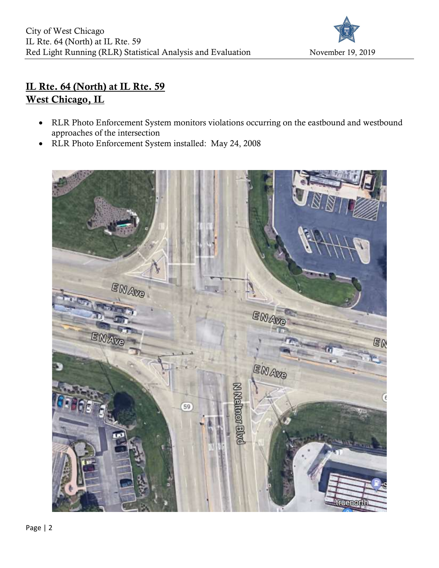

# IL Rte. 64 (North) at IL Rte. 59 West Chicago, IL

- RLR Photo Enforcement System monitors violations occurring on the eastbound and westbound approaches of the intersection
- RLR Photo Enforcement System installed: May 24, 2008

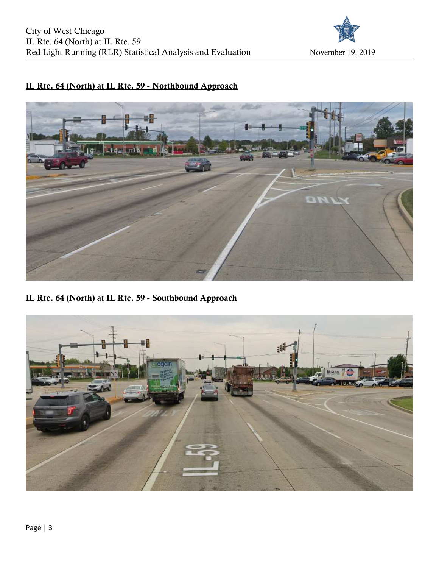

#### IL Rte. 64 (North) at IL Rte. 59 - Northbound Approach



#### IL Rte. 64 (North) at IL Rte. 59 - Southbound Approach

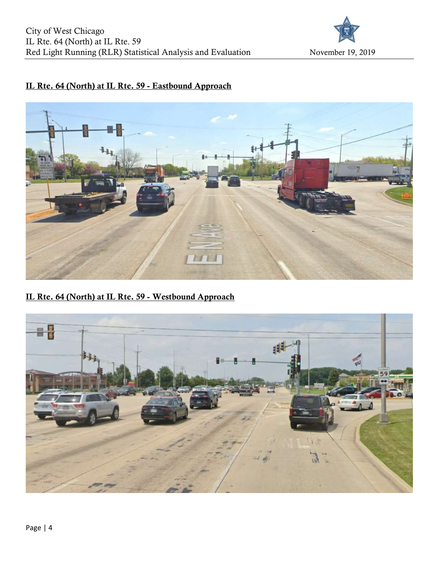

## IL Rte. 64 (North) at IL Rte. 59 - Eastbound Approach



IL Rte. 64 (North) at IL Rte. 59 - Westbound Approach

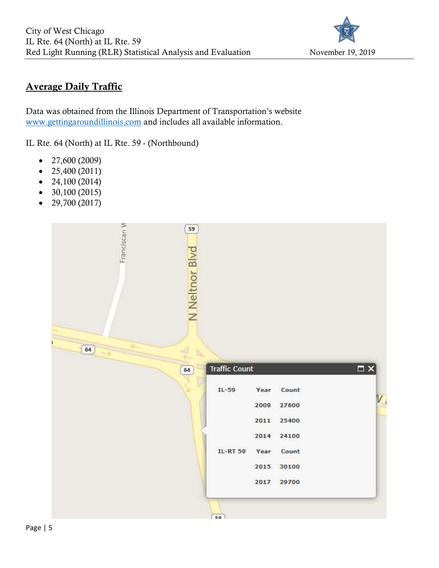

## Average Daily Traffic

Data was obtained from the Illinois Department of Transportation's website www.gettingaroundillinois.com and includes all available information.

IL Rte. 64 (North) at IL Rte. 59 - (Northbound)

- $\bullet$  27,600 (2009)
- $\bullet$  25,400 (2011)
- $\bullet$  24,100 (2014)
- $\bullet$  30,100 (2015)
- $-29,700(2017)$

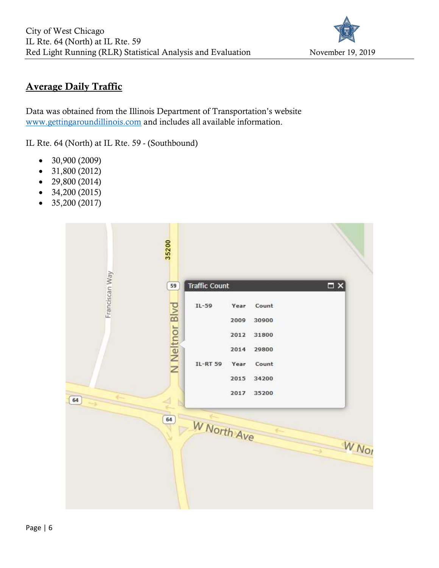

## Average Daily Traffic

Data was obtained from the Illinois Department of Transportation's website www.gettingaroundillinois.com and includes all available information.

IL Rte. 64 (North) at IL Rte. 59 - (Southbound)

- $\bullet$  30,900 (2009)
- $\bullet$  31,800 (2012)
- $\bullet$  29,800 (2014)
- $\bullet$  34,200 (2015)
- $\bullet$  35,200 (2017)

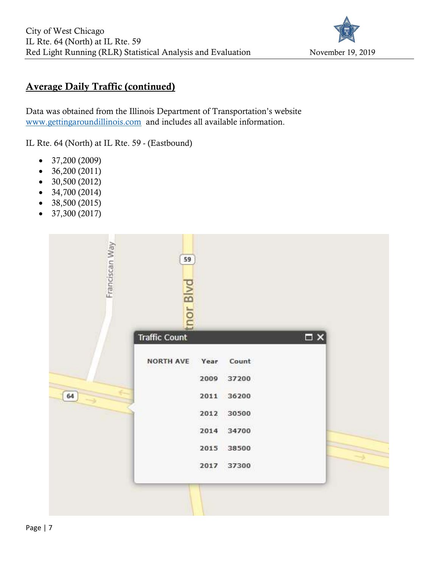

#### Average Daily Traffic (continued)

Data was obtained from the Illinois Department of Transportation's website www.gettingaroundillinois.com and includes all available information.

IL Rte. 64 (North) at IL Rte. 59 - (Eastbound)

- $\bullet$  37,200 (2009)
- $\bullet$  36,200 (2011)
- $\bullet$  30,500 (2012)
- $\bullet$  34,700 (2014)
- $\bullet$  38,500 (2015)
- $\bullet$  37,300 (2017)

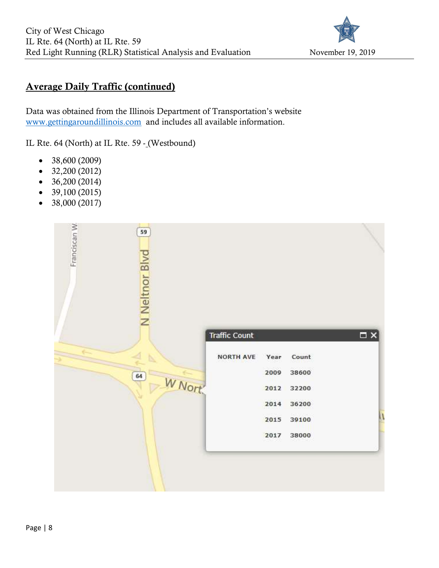

## Average Daily Traffic (continued)

Data was obtained from the Illinois Department of Transportation's website www.gettingaroundillinois.com and includes all available information.

IL Rte. 64 (North) at IL Rte. 59 - (Westbound)

- 38,600 (2009)
- $\bullet$  32,200 (2012)
- $\bullet$  36,200 (2014)
- $\bullet$  39,100 (2015)
- 38,000 (2017)

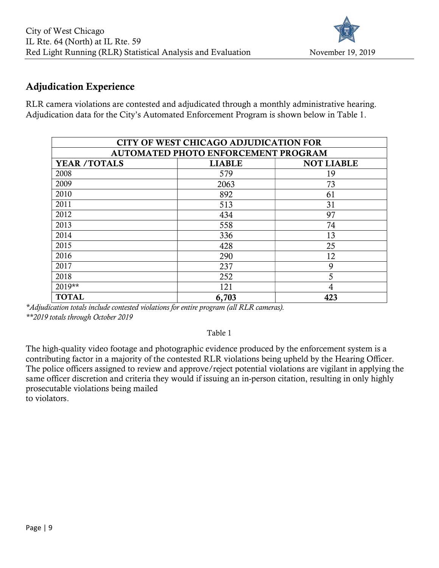

#### Adjudication Experience

RLR camera violations are contested and adjudicated through a monthly administrative hearing. Adjudication data for the City's Automated Enforcement Program is shown below in Table 1.

| <b>CITY OF WEST CHICAGO ADJUDICATION FOR</b> |               |                   |  |  |  |  |  |  |  |
|----------------------------------------------|---------------|-------------------|--|--|--|--|--|--|--|
| AUTOMATED PHOTO ENFORCEMENT PROGRAM          |               |                   |  |  |  |  |  |  |  |
| <b>YEAR /TOTALS</b>                          | <b>LIABLE</b> | <b>NOT LIABLE</b> |  |  |  |  |  |  |  |
| 2008                                         | 579           | 19                |  |  |  |  |  |  |  |
| 2009                                         | 2063          | 73                |  |  |  |  |  |  |  |
| 2010                                         | 892           | 61                |  |  |  |  |  |  |  |
| 2011                                         | 513           | 31                |  |  |  |  |  |  |  |
| 2012                                         | 434           | 97                |  |  |  |  |  |  |  |
| 2013                                         | 558           | 74                |  |  |  |  |  |  |  |
| 2014                                         | 336           | 13                |  |  |  |  |  |  |  |
| 2015                                         | 428           | 25                |  |  |  |  |  |  |  |
| 2016                                         | 290           | 12                |  |  |  |  |  |  |  |
| 2017                                         | 237           | 9                 |  |  |  |  |  |  |  |
| 2018                                         | 252           | 5                 |  |  |  |  |  |  |  |
| 2019**                                       | 121           | 4                 |  |  |  |  |  |  |  |
| <b>TOTAL</b>                                 | 6,703         | 423               |  |  |  |  |  |  |  |

\*Adjudication totals include contested violations for entire program (all RLR cameras). \*\*2019 totals through October 2019

Table 1

The high-quality video footage and photographic evidence produced by the enforcement system is a contributing factor in a majority of the contested RLR violations being upheld by the Hearing Officer. The police officers assigned to review and approve/reject potential violations are vigilant in applying the same officer discretion and criteria they would if issuing an in-person citation, resulting in only highly prosecutable violations being mailed to violators.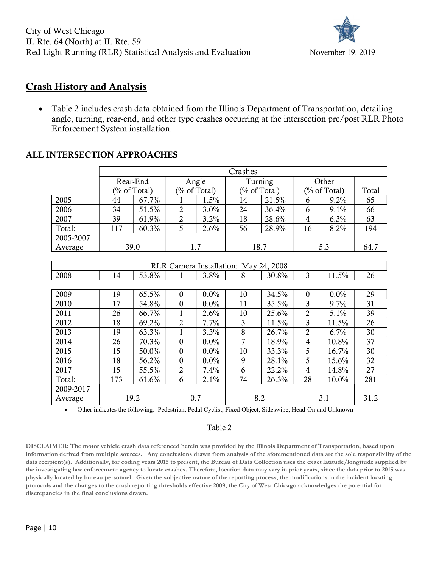

#### Crash History and Analysis

 Table 2 includes crash data obtained from the Illinois Department of Transportation, detailing angle, turning, rear-end, and other type crashes occurring at the intersection pre/post RLR Photo Enforcement System installation.

## ALL INTERSECTION APPROACHES

|           | Crashes |              |     |                 |      |                 |     |              |      |
|-----------|---------|--------------|-----|-----------------|------|-----------------|-----|--------------|------|
|           |         | Rear-End     |     | Angle           |      | Turning         |     | Other        |      |
|           |         | (% of Total) |     | $(\%$ of Total) |      | $(\%$ of Total) |     | (% of Total) |      |
| 2005      | 44      | 67.7%        |     | 1.5%            | 14   | 21.5%           | O   | $9.2\%$      | 65   |
| 2006      | 34      | 51.5%        | 2   | $3.0\%$         | 24   | 36.4%           | 6   | $9.1\%$      | 66   |
| 2007      | 39      | 61.9%        |     | 3.2%            | 18   | 28.6%           | 4   | 6.3%         | 63   |
| Total:    | 117     | 60.3%        |     | 2.6%            | 56   | 28.9%           | 16  | 8.2%         | 194  |
| 2005-2007 |         |              |     |                 |      |                 |     |              |      |
| Average   |         | 39.0         | 1.7 |                 | 18.7 |                 | 5.3 |              | 64.7 |

| RLR Camera Installation: May 24, 2008 |      |       |              |         |     |       |                |       |      |
|---------------------------------------|------|-------|--------------|---------|-----|-------|----------------|-------|------|
| 2008                                  | 14   | 53.8% |              | 3.8%    | 8   | 30.8% | 3              | 11.5% | 26   |
|                                       |      |       |              |         |     |       |                |       |      |
| 2009                                  | 19   | 65.5% | $\Omega$     | $0.0\%$ | 10  | 34.5% | $\mathbf{0}$   | 0.0%  | 29   |
| 2010                                  | 17   | 54.8% | $\Omega$     | $0.0\%$ | 11  | 35.5% | 3              | 9.7%  | 31   |
| 2011                                  | 26   | 66.7% |              | 2.6%    | 10  | 25.6% | 2              | 5.1%  | 39   |
| 2012                                  | 18   | 69.2% | 2            | 7.7%    | 3   | 11.5% | 3              | 11.5% | 26   |
| 2013                                  | 19   | 63.3% |              | 3.3%    | 8   | 26.7% | $\overline{2}$ | 6.7%  | 30   |
| 2014                                  | 26   | 70.3% | $\Omega$     | 0.0%    | 7   | 18.9% | 4              | 10.8% | 37   |
| 2015                                  | 15   | 50.0% | $\Omega$     | $0.0\%$ | 10  | 33.3% | 5              | 16.7% | 30   |
| 2016                                  | 18   | 56.2% | $\mathbf{0}$ | $0.0\%$ | 9   | 28.1% | 5              | 15.6% | 32   |
| 2017                                  | 15   | 55.5% | 2            | 7.4%    | 6   | 22.2% | 4              | 14.8% | 27   |
| Total:                                | 173  | 61.6% | 6            | 2.1%    | 74  | 26.3% | 28             | 10.0% | 281  |
| 2009-2017                             |      |       |              |         |     |       |                |       |      |
| Average                               | 19.2 |       | 0.7          |         | 8.2 |       | 3.1            |       | 31.2 |

Other indicates the following: Pedestrian, Pedal Cyclist, Fixed Object, Sideswipe, Head-On and Unknown

#### Table 2

DISCLAIMER: The motor vehicle crash data referenced herein was provided by the Illinois Department of Transportation, based upon information derived from multiple sources. Any conclusions drawn from analysis of the aforementioned data are the sole responsibility of the data recipient(s). Additionally, for coding years 2015 to present, the Bureau of Data Collection uses the exact latitude/longitude supplied by the investigating law enforcement agency to locate crashes. Therefore, location data may vary in prior years, since the data prior to 2015 was physically located by bureau personnel. Given the subjective nature of the reporting process, the modifications in the incident locating protocols and the changes to the crash reporting thresholds effective 2009, the City of West Chicago acknowledges the potential for discrepancies in the final conclusions drawn.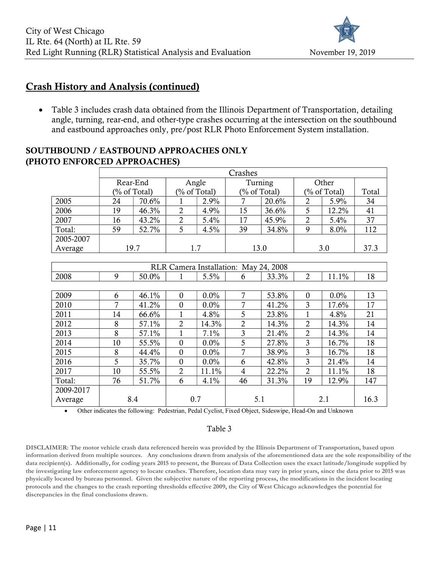

#### Crash History and Analysis (continued)

• Table 3 includes crash data obtained from the Illinois Department of Transportation, detailing angle, turning, rear-end, and other-type crashes occurring at the intersection on the southbound and eastbound approaches only, pre/post RLR Photo Enforcement System installation.

#### SOUTHBOUND / EASTBOUND APPROACHES ONLY (PHOTO ENFORCED APPROACHES)

|           | Crashes |                 |     |                 |      |              |     |            |      |
|-----------|---------|-----------------|-----|-----------------|------|--------------|-----|------------|------|
|           |         | Rear-End        |     | Angle           |      | Turning      |     | Other      |      |
|           |         | $(\%$ of Total) |     | $(\%$ of Total) |      | (% of Total) |     | % of Total |      |
| 2005      | 24      | 70.6%           |     | 2.9%            |      | 20.6%        |     | 5.9%       | 34   |
| 2006      | 19      | 46.3%           |     | 4.9%            | 15   | 36.6%        |     | 12.2%      | 41   |
| 2007      | 16      | 43.2%           |     | 5.4%            | 17   | 45.9%        |     | 5.4%       | 37   |
| Total:    | 59      | 52.7%           |     | 4.5%            | 39   | 34.8%        | 9   | 8.0%       | 112  |
| 2005-2007 |         |                 |     |                 |      |              |     |            |      |
| Average   |         | 19.7            | 1.7 |                 | 13.0 |              | 3.0 |            | 37.3 |

| RLR Camera Installation: May 24, 2008 |     |       |                |         |                |       |                |         |      |  |  |
|---------------------------------------|-----|-------|----------------|---------|----------------|-------|----------------|---------|------|--|--|
| 2008                                  | 9   | 50.0% |                | 5.5%    | 6              | 33.3% | $\overline{2}$ | 11.1%   | 18   |  |  |
|                                       |     |       |                |         |                |       |                |         |      |  |  |
| 2009                                  | 6   | 46.1% | $\Omega$       | $0.0\%$ | 7              | 53.8% | $\Omega$       | $0.0\%$ | 13   |  |  |
| 2010                                  | 7   | 41.2% | $\Omega$       | $0.0\%$ | 7              | 41.2% | 3              | 17.6%   | 17   |  |  |
| 2011                                  | 14  | 66.6% |                | 4.8%    | 5              | 23.8% |                | 4.8%    | 21   |  |  |
| 2012                                  | 8   | 57.1% | $\overline{2}$ | 14.3%   | $\overline{2}$ | 14.3% | $\overline{2}$ | 14.3%   | 14   |  |  |
| 2013                                  | 8   | 57.1% |                | 7.1%    | 3              | 21.4% | $\overline{2}$ | 14.3%   | 14   |  |  |
| 2014                                  | 10  | 55.5% | $\Omega$       | 0.0%    | 5              | 27.8% | 3              | 16.7%   | 18   |  |  |
| 2015                                  | 8   | 44.4% | $\Omega$       | $0.0\%$ | 7              | 38.9% | 3              | 16.7%   | 18   |  |  |
| 2016                                  | 5   | 35.7% | $\Omega$       | $0.0\%$ | 6              | 42.8% | 3              | 21.4%   | 14   |  |  |
| 2017                                  | 10  | 55.5% | 2              | 11.1%   | 4              | 22.2% | 2              | 11.1%   | 18   |  |  |
| Total:                                | 76  | 51.7% | 6              | 4.1%    | 46             | 31.3% | 19             | 12.9%   | 147  |  |  |
| 2009-2017                             |     |       |                |         |                |       |                |         |      |  |  |
| Average                               | 8.4 |       | 0.7            |         | 5.1            |       | 2.1            |         | 16.3 |  |  |

Other indicates the following: Pedestrian, Pedal Cyclist, Fixed Object, Sideswipe, Head-On and Unknown

#### Table 3

DISCLAIMER: The motor vehicle crash data referenced herein was provided by the Illinois Department of Transportation, based upon information derived from multiple sources. Any conclusions drawn from analysis of the aforementioned data are the sole responsibility of the data recipient(s). Additionally, for coding years 2015 to present, the Bureau of Data Collection uses the exact latitude/longitude supplied by the investigating law enforcement agency to locate crashes. Therefore, location data may vary in prior years, since the data prior to 2015 was physically located by bureau personnel. Given the subjective nature of the reporting process, the modifications in the incident locating protocols and the changes to the crash reporting thresholds effective 2009, the City of West Chicago acknowledges the potential for discrepancies in the final conclusions drawn.